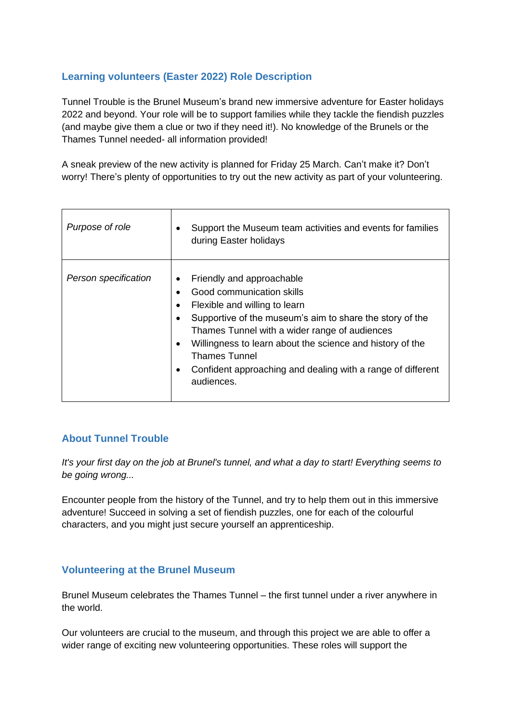## **Learning volunteers (Easter 2022) Role Description**

Tunnel Trouble is the Brunel Museum's brand new immersive adventure for Easter holidays 2022 and beyond. Your role will be to support families while they tackle the fiendish puzzles (and maybe give them a clue or two if they need it!). No knowledge of the Brunels or the Thames Tunnel needed- all information provided!

A sneak preview of the new activity is planned for Friday 25 March. Can't make it? Don't worry! There's plenty of opportunities to try out the new activity as part of your volunteering.

| Purpose of role      | Support the Museum team activities and events for families<br>٠<br>during Easter holidays                                                                                                                                                                                                                                                                                                                               |
|----------------------|-------------------------------------------------------------------------------------------------------------------------------------------------------------------------------------------------------------------------------------------------------------------------------------------------------------------------------------------------------------------------------------------------------------------------|
| Person specification | Friendly and approachable<br>٠<br>Good communication skills<br>Flexible and willing to learn<br>$\bullet$<br>Supportive of the museum's aim to share the story of the<br>$\bullet$<br>Thames Tunnel with a wider range of audiences<br>Willingness to learn about the science and history of the<br>$\bullet$<br><b>Thames Tunnel</b><br>Confident approaching and dealing with a range of different<br>٠<br>audiences. |

## **About Tunnel Trouble**

*It's your first day on the job at Brunel's tunnel, and what a day to start! Everything seems to be going wrong...*

Encounter people from the history of the Tunnel, and try to help them out in this immersive adventure! Succeed in solving a set of fiendish puzzles, one for each of the colourful characters, and you might just secure yourself an apprenticeship.

## **Volunteering at the Brunel Museum**

Brunel Museum celebrates the Thames Tunnel – the first tunnel under a river anywhere in the world.

Our volunteers are crucial to the museum, and through this project we are able to offer a wider range of exciting new volunteering opportunities. These roles will support the